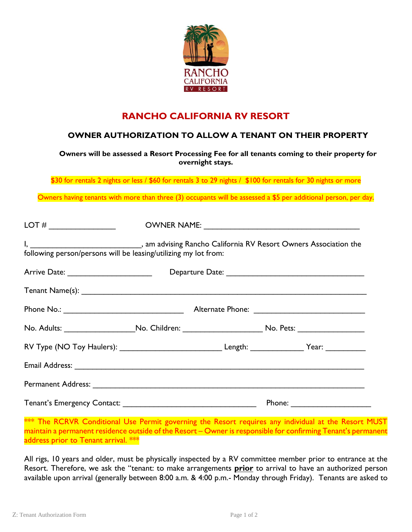

## **RANCHO CALIFORNIA RV RESORT**

## **OWNER AUTHORIZATION TO ALLOW A TENANT ON THEIR PROPERTY**

**Owners will be assessed a Resort Processing Fee for all tenants coming to their property for overnight stays.**

\$30 for rentals 2 nights or less / \$60 for rentals 3 to 29 nights / \$100 for rentals for 30 nights or more

Owners having tenants with more than three (3) occupants will be assessed a \$5 per additional person, per day.

| following person/persons will be leasing/utilizing my lot from:                                            |  |  |
|------------------------------------------------------------------------------------------------------------|--|--|
|                                                                                                            |  |  |
|                                                                                                            |  |  |
|                                                                                                            |  |  |
| No. Adults: _______________________No. Children: ______________________________No. Pets: _________________ |  |  |
| RV Type (NO Toy Haulers): __________________________________Length: _________________Year: ______________  |  |  |
|                                                                                                            |  |  |
|                                                                                                            |  |  |
|                                                                                                            |  |  |

\*\*\* The RCRVR Conditional Use Permit governing the Resort requires any individual at the Resort MUST maintain a permanent residence outside of the Resort – Owner is responsible for confirming Tenant's permanent address prior to Tenant arrival. \*\*\*

All rigs, 10 years and older, must be physically inspected by a RV committee member prior to entrance at the Resort. Therefore, we ask the "tenant: to make arrangements **prior** to arrival to have an authorized person available upon arrival (generally between 8:00 a.m. & 4:00 p.m.- Monday through Friday). Tenants are asked to